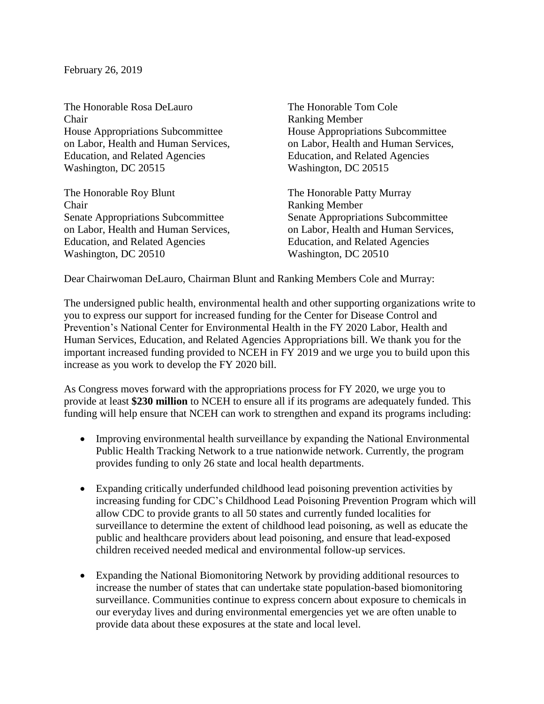February 26, 2019

The Honorable Rosa DeLauro The Honorable Tom Cole Chair Ranking Member House Appropriations Subcommittee House Appropriations Subcommittee Education, and Related Agencies Education, and Related Agencies Washington, DC 20515 Washington, DC 20515

The Honorable Roy Blunt The Honorable Patty Murray Chair Ranking Member Senate Appropriations Subcommittee Senate Appropriations Subcommittee on Labor, Health and Human Services, on Labor, Health and Human Services, Education, and Related Agencies Education, and Related Agencies Washington, DC 20510 Washington, DC 20510

on Labor, Health and Human Services, on Labor, Health and Human Services,

Dear Chairwoman DeLauro, Chairman Blunt and Ranking Members Cole and Murray:

The undersigned public health, environmental health and other supporting organizations write to you to express our support for increased funding for the Center for Disease Control and Prevention's National Center for Environmental Health in the FY 2020 Labor, Health and Human Services, Education, and Related Agencies Appropriations bill. We thank you for the important increased funding provided to NCEH in FY 2019 and we urge you to build upon this increase as you work to develop the FY 2020 bill.

As Congress moves forward with the appropriations process for FY 2020, we urge you to provide at least **\$230 million** to NCEH to ensure all if its programs are adequately funded. This funding will help ensure that NCEH can work to strengthen and expand its programs including:

- Improving environmental health surveillance by expanding the National Environmental Public Health Tracking Network to a true nationwide network. Currently, the program provides funding to only 26 state and local health departments.
- Expanding critically underfunded childhood lead poisoning prevention activities by increasing funding for CDC's Childhood Lead Poisoning Prevention Program which will allow CDC to provide grants to all 50 states and currently funded localities for surveillance to determine the extent of childhood lead poisoning, as well as educate the public and healthcare providers about lead poisoning, and ensure that lead-exposed children received needed medical and environmental follow-up services.
- Expanding the National Biomonitoring Network by providing additional resources to increase the number of states that can undertake state population-based biomonitoring surveillance. Communities continue to express concern about exposure to chemicals in our everyday lives and during environmental emergencies yet we are often unable to provide data about these exposures at the state and local level.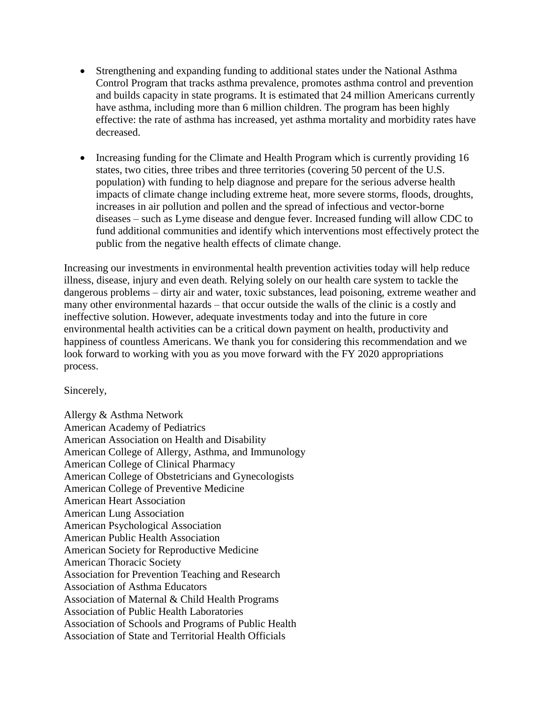- Strengthening and expanding funding to additional states under the National Asthma Control Program that tracks asthma prevalence, promotes asthma control and prevention and builds capacity in state programs. It is estimated that 24 million Americans currently have asthma, including more than 6 million children. The program has been highly effective: the rate of asthma has increased, yet asthma mortality and morbidity rates have decreased.
- Increasing funding for the Climate and Health Program which is currently providing 16 states, two cities, three tribes and three territories (covering 50 percent of the U.S. population) with funding to help diagnose and prepare for the serious adverse health impacts of climate change including extreme heat, more severe storms, floods, droughts, increases in air pollution and pollen and the spread of infectious and vector-borne diseases – such as Lyme disease and dengue fever. Increased funding will allow CDC to fund additional communities and identify which interventions most effectively protect the public from the negative health effects of climate change.

Increasing our investments in environmental health prevention activities today will help reduce illness, disease, injury and even death. Relying solely on our health care system to tackle the dangerous problems – dirty air and water, toxic substances, lead poisoning, extreme weather and many other environmental hazards – that occur outside the walls of the clinic is a costly and ineffective solution. However, adequate investments today and into the future in core environmental health activities can be a critical down payment on health, productivity and happiness of countless Americans. We thank you for considering this recommendation and we look forward to working with you as you move forward with the FY 2020 appropriations process.

Sincerely,

Allergy & Asthma Network American Academy of Pediatrics American Association on Health and Disability American College of Allergy, Asthma, and Immunology American College of Clinical Pharmacy American College of Obstetricians and Gynecologists American College of Preventive Medicine American Heart Association American Lung Association American Psychological Association American Public Health Association American Society for Reproductive Medicine American Thoracic Society Association for Prevention Teaching and Research Association of Asthma Educators Association of Maternal & Child Health Programs Association of Public Health Laboratories Association of Schools and Programs of Public Health Association of State and Territorial Health Officials